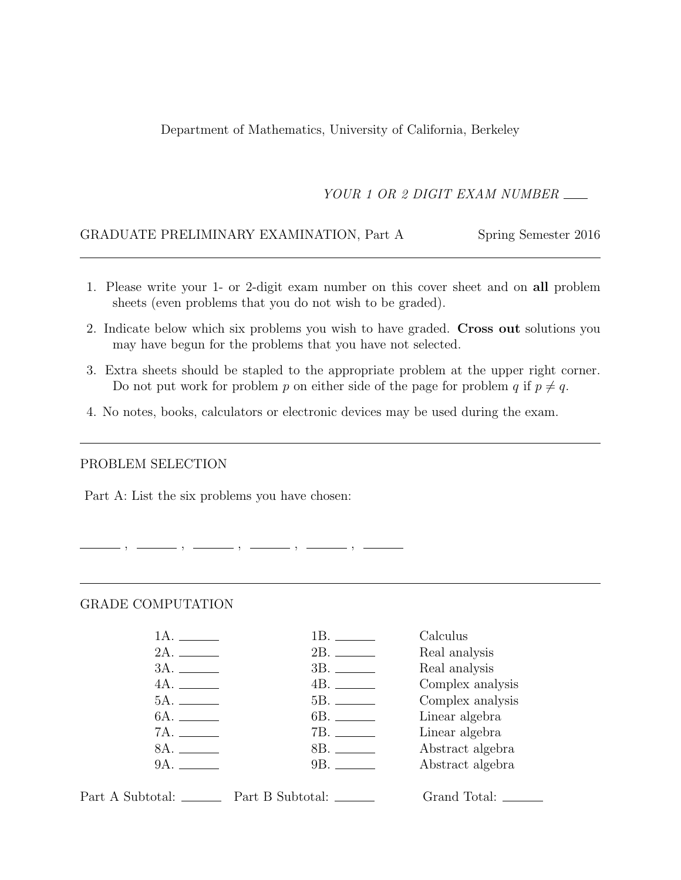Department of Mathematics, University of California, Berkeley

YOUR 1 OR 2 DIGIT EXAM NUMBER

#### GRADUATE PRELIMINARY EXAMINATION, Part A Spring Semester 2016

- 1. Please write your 1- or 2-digit exam number on this cover sheet and on all problem sheets (even problems that you do not wish to be graded).
- 2. Indicate below which six problems you wish to have graded. Cross out solutions you may have begun for the problems that you have not selected.
- 3. Extra sheets should be stapled to the appropriate problem at the upper right corner. Do not put work for problem p on either side of the page for problem q if  $p \neq q$ .
- 4. No notes, books, calculators or electronic devices may be used during the exam.

 $-$  ,  $-$  ,  $-$ 

#### PROBLEM SELECTION

Part A: List the six problems you have chosen:

#### GRADE COMPUTATION

|              | 1B. ______  | Calculus         |
|--------------|-------------|------------------|
|              |             | Real analysis    |
|              |             | Real analysis    |
| 4A.          |             | Complex analysis |
|              |             | Complex analysis |
| 6A. ________ |             | Linear algebra   |
|              |             | Linear algebra   |
| 8A.          | 8B. _______ | Abstract algebra |
| 9A.          | 9B.         | Abstract algebra |
|              |             |                  |

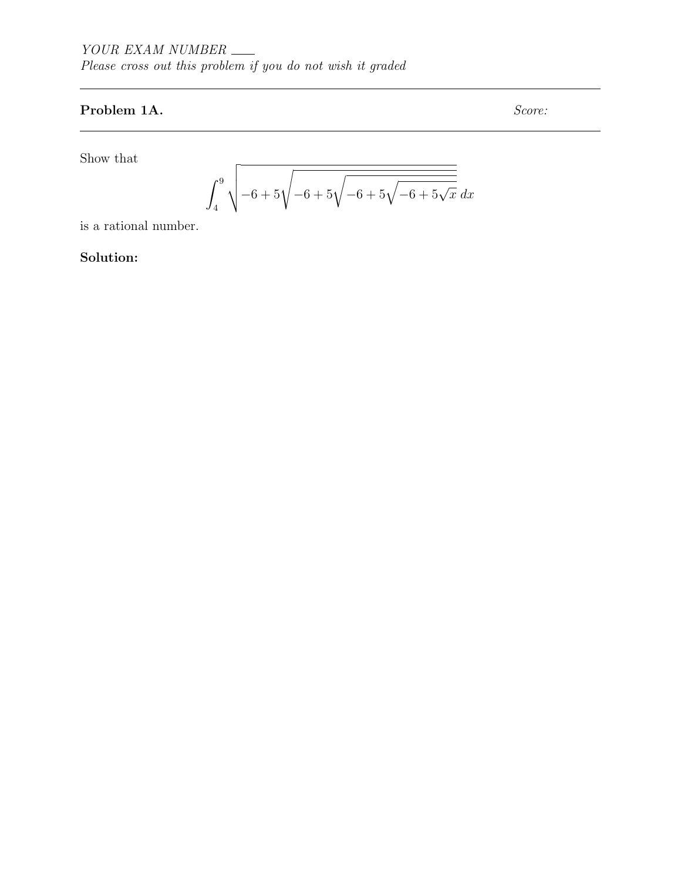# Problem 1A. Score:

Show that

$$
\int_{4}^{9} \sqrt{-6 + 5\sqrt{-6 + 5\sqrt{-6 + 5\sqrt{x}}}} dx
$$

is a rational number.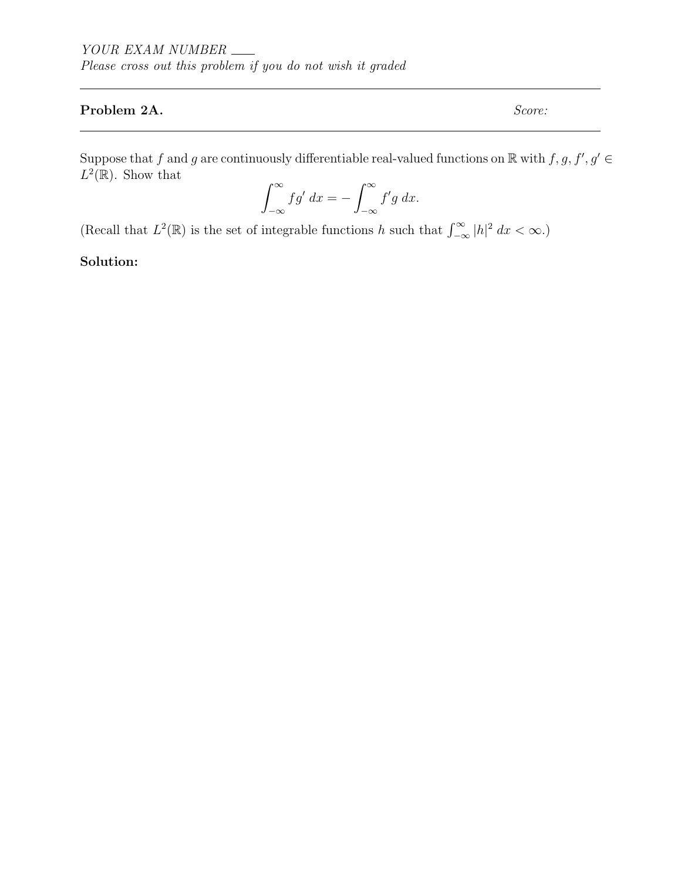### Problem 2A. Score:

Suppose that f and g are continuously differentiable real-valued functions on  $\mathbb R$  with  $f, g, f', g' \in$  $L^2(\mathbb{R})$ . Show that

$$
\int_{-\infty}^{\infty} f g' dx = - \int_{-\infty}^{\infty} f' g dx.
$$

(Recall that  $L^2(\mathbb{R})$  is the set of integrable functions h such that  $\int_{-\infty}^{\infty} |h|^2 dx < \infty$ .)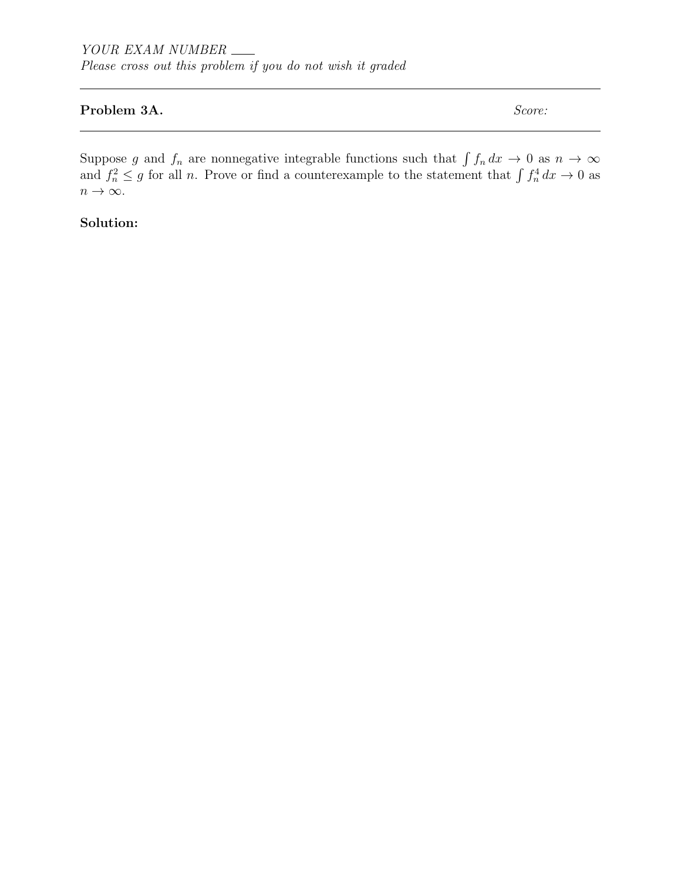#### Problem 3A. Score:

Suppose g and  $f_n$  are nonnegative integrable functions such that  $\int f_n dx \to 0$  as  $n \to \infty$ and  $f_n^2 \leq g$  for all n. Prove or find a counterexample to the statement that  $\int f_n^4 dx \to 0$  as  $n \to \infty$ .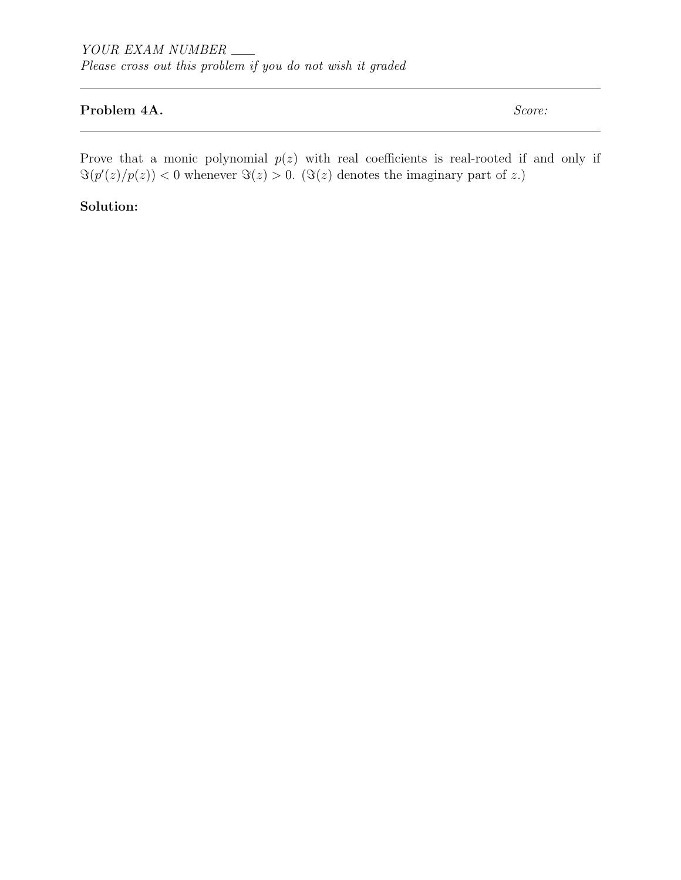### Problem 4A. Score:

Prove that a monic polynomial  $p(z)$  with real coefficients is real-rooted if and only if  $\Im(p'(z)/p(z)) < 0$  whenever  $\Im(z) > 0$ . ( $\Im(z)$  denotes the imaginary part of z.)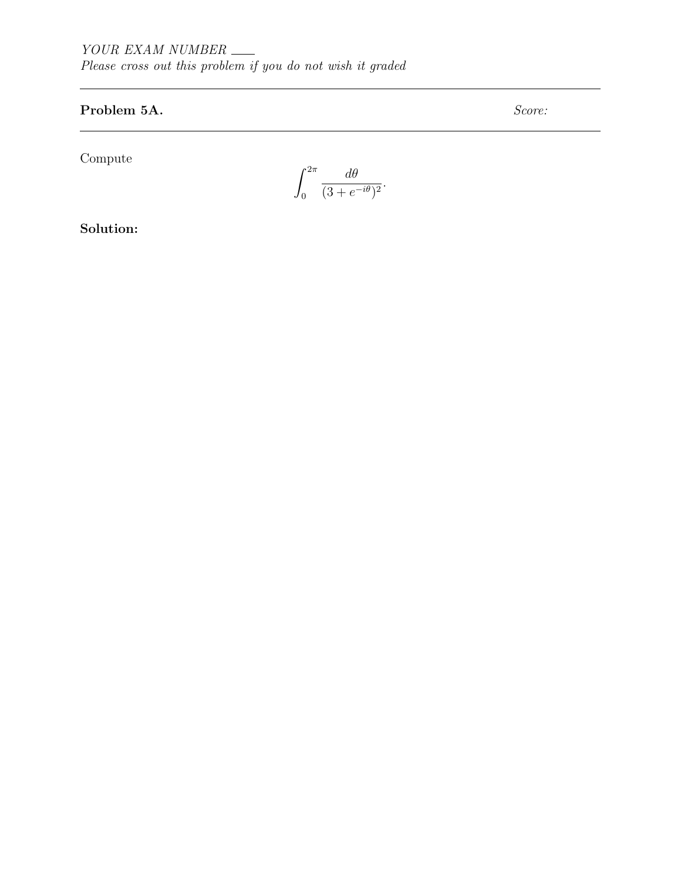# Problem 5A. Score:

Compute

$$
\int_0^{2\pi} \frac{d\theta}{(3 + e^{-i\theta})^2}.
$$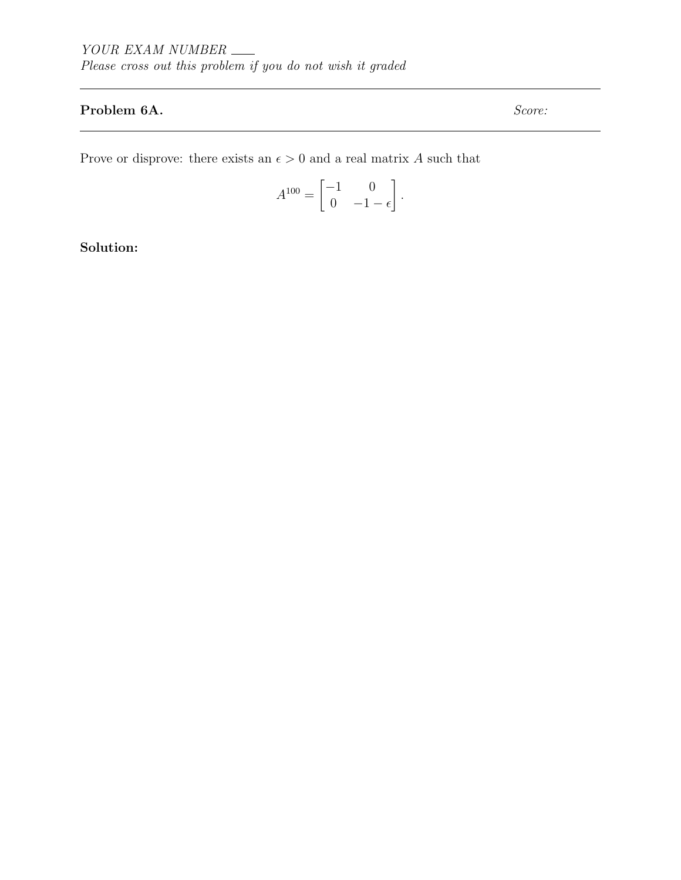## Problem 6A. Score:

Prove or disprove: there exists an  $\epsilon > 0$  and a real matrix A such that

$$
A^{100} = \begin{bmatrix} -1 & 0 \\ 0 & -1 - \epsilon \end{bmatrix}.
$$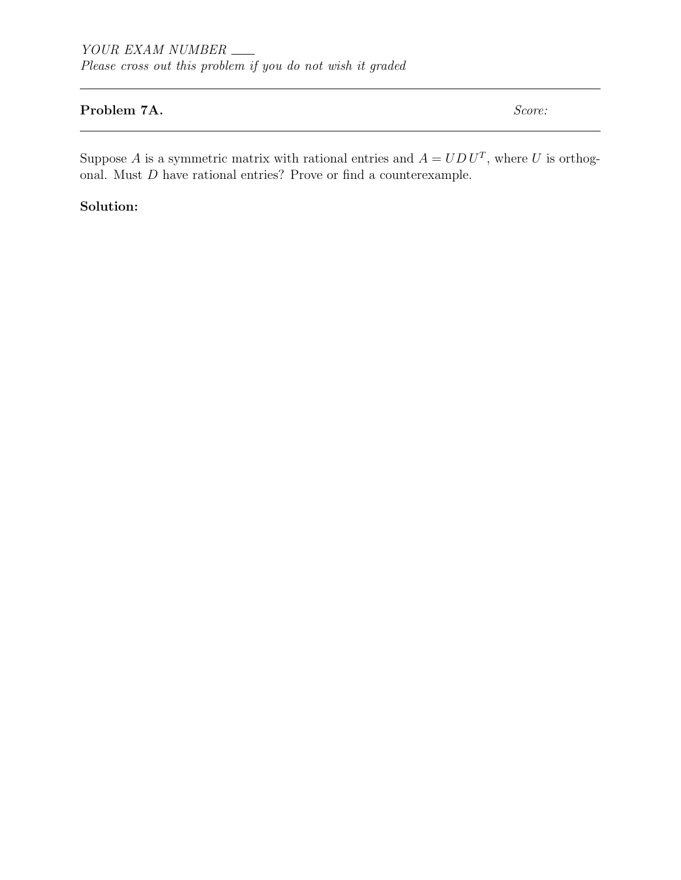### Problem 7A. Score:

Suppose A is a symmetric matrix with rational entries and  $A = U D U^T$ , where U is orthogonal. Must  $D$  have rational entries? Prove or find a counterexample.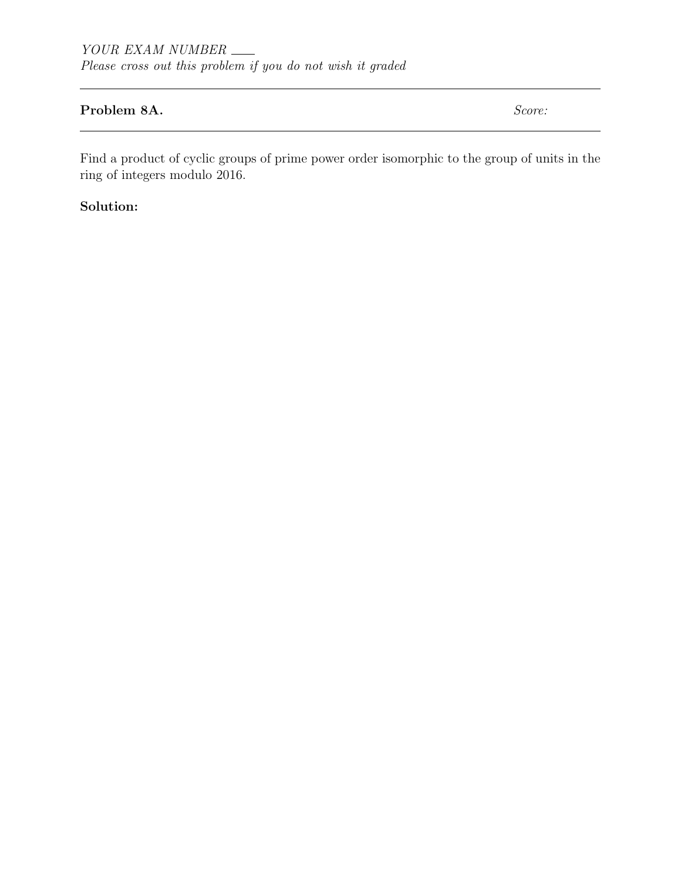### Problem 8A. Score:

Find a product of cyclic groups of prime power order isomorphic to the group of units in the ring of integers modulo 2016.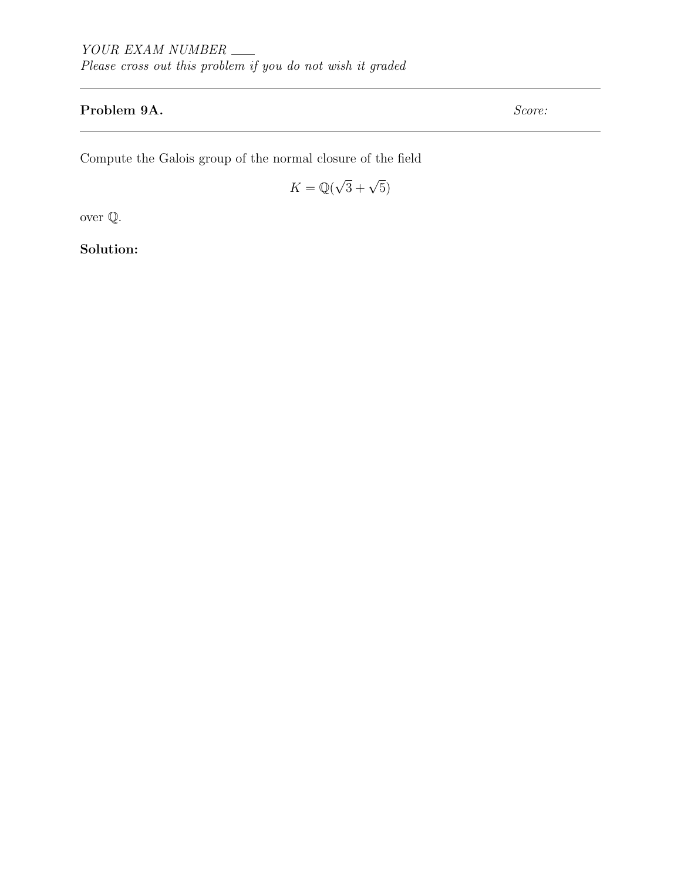# Problem 9A. Score:

Compute the Galois group of the normal closure of the field

$$
K = \mathbb{Q}(\sqrt{3} + \sqrt{5})
$$

over Q.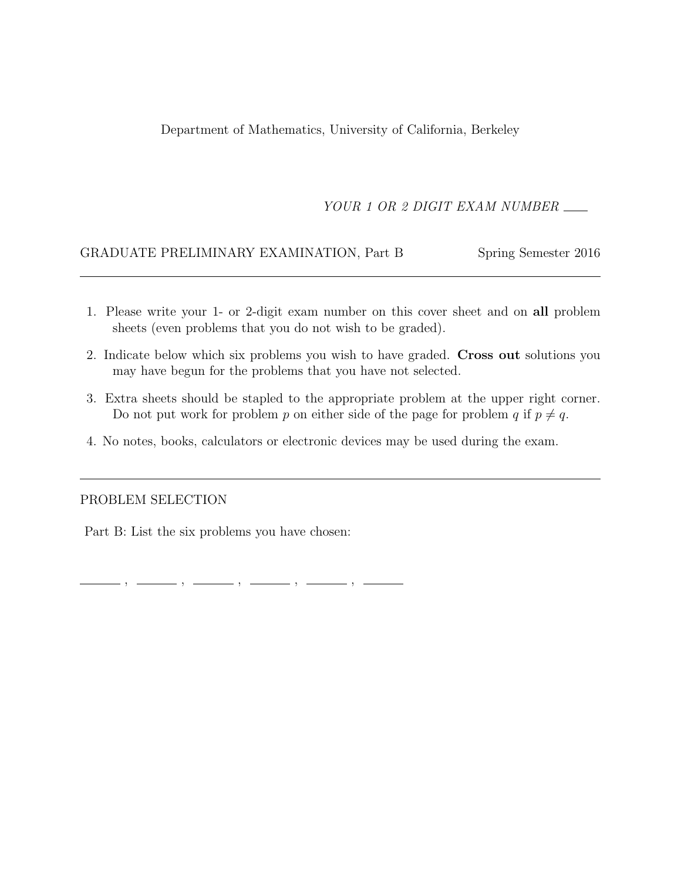Department of Mathematics, University of California, Berkeley

## YOUR 1 OR 2 DIGIT EXAM NUMBER

### GRADUATE PRELIMINARY EXAMINATION, Part B Spring Semester 2016

- 1. Please write your 1- or 2-digit exam number on this cover sheet and on all problem sheets (even problems that you do not wish to be graded).
- 2. Indicate below which six problems you wish to have graded. Cross out solutions you may have begun for the problems that you have not selected.
- 3. Extra sheets should be stapled to the appropriate problem at the upper right corner. Do not put work for problem p on either side of the page for problem q if  $p \neq q$ .
- 4. No notes, books, calculators or electronic devices may be used during the exam.

#### PROBLEM SELECTION

Part B: List the six problems you have chosen:

 $, \,\, \underline{\hspace{1.5cm}}\, \,\, , \,\, \underline{\hspace{1.5cm}}\, \,\, , \,\, \underline{\hspace{1.5cm}}\, \,\, , \,\, \underline{\hspace{1.5cm}}\, \,\, , \,\, \underline{\hspace{1.5cm}}\, \,\, , \,\, \underline{\hspace{1.5cm}}\, \,\, , \,\, \underline{\hspace{1.5cm}}\, \,\, , \,\, \underline{\hspace{1.5cm}}\, \,\, , \,\, \underline{\hspace{1.5cm}}\, \,\, , \,\, \underline{\hspace{1.5cm}}\, \,\, , \,\, \underline{\hspace{1.5cm}}\, \,\,$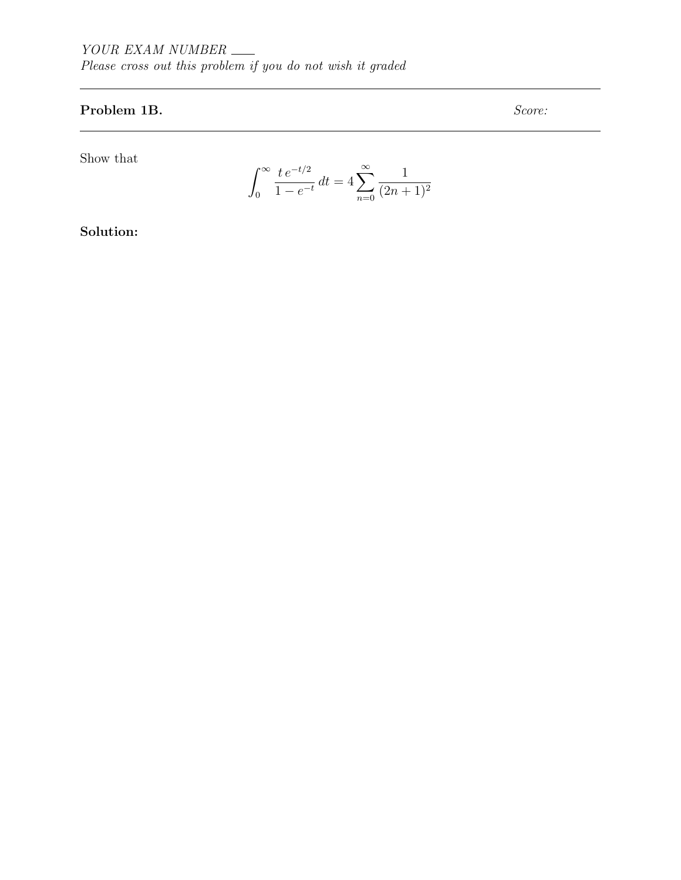# Problem 1B. Score:

Show that

$$
\int_0^\infty \frac{t e^{-t/2}}{1 - e^{-t}} dt = 4 \sum_{n=0}^\infty \frac{1}{(2n+1)^2}
$$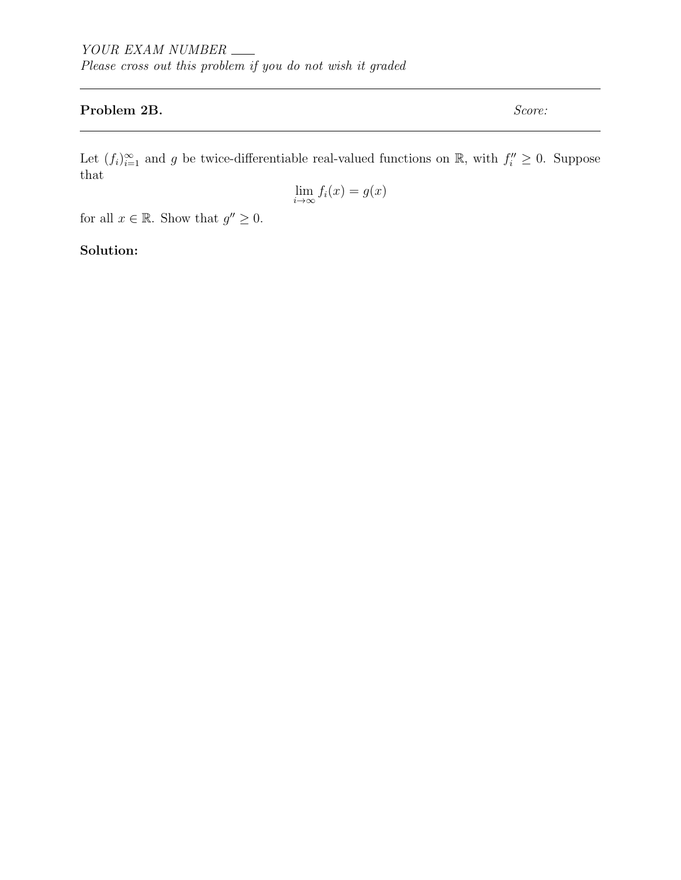#### Problem 2B. Score:

Let  $(f_i)_{i=1}^{\infty}$  and g be twice-differentiable real-valued functions on  $\mathbb{R}$ , with  $f_i'' \geq 0$ . Suppose that

$$
\lim_{i \to \infty} f_i(x) = g(x)
$$

for all  $x \in \mathbb{R}$ . Show that  $g'' \geq 0$ .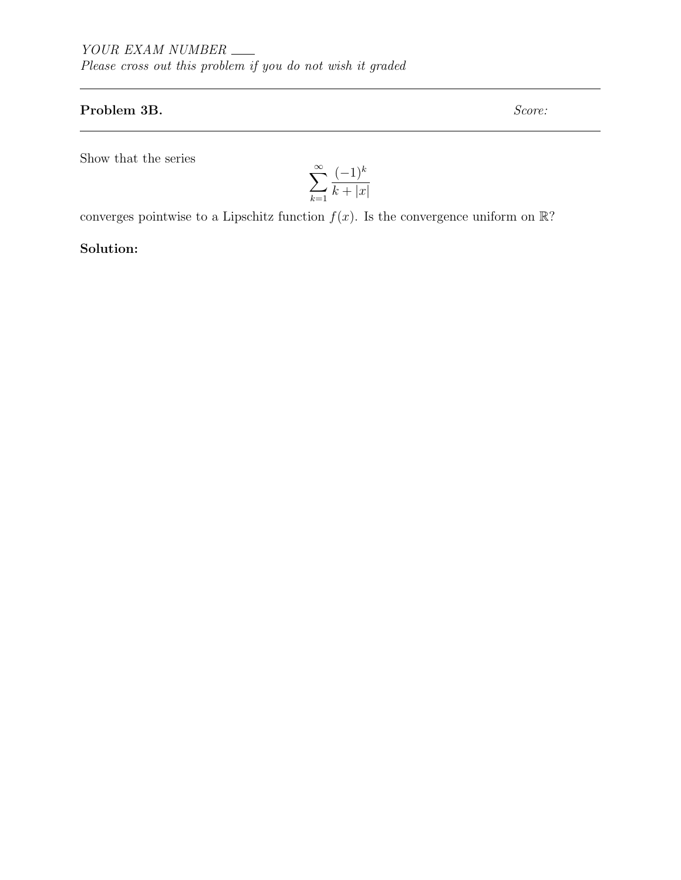#### Problem 3B. Score:

Show that the series

$$
\sum_{k=1}^{\infty} \frac{(-1)^k}{k+|x|}
$$

converges pointwise to a Lipschitz function  $f(x)$ . Is the convergence uniform on  $\mathbb{R}$ ?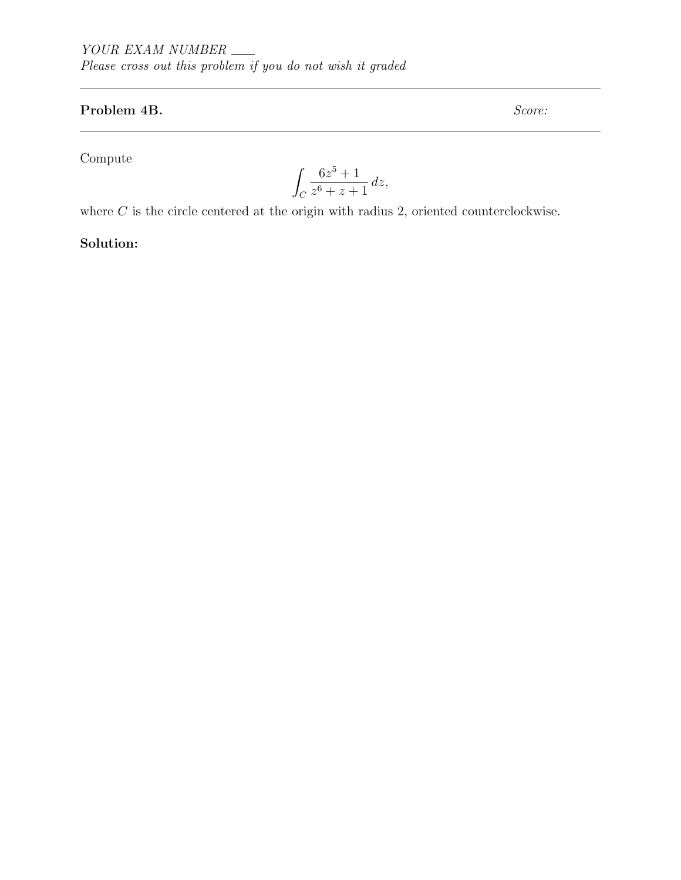# Problem 4B. Score:

Compute

$$
\int_C \frac{6z^5 + 1}{z^6 + z + 1} \, dz,
$$

where  $C$  is the circle centered at the origin with radius 2, oriented counterclockwise.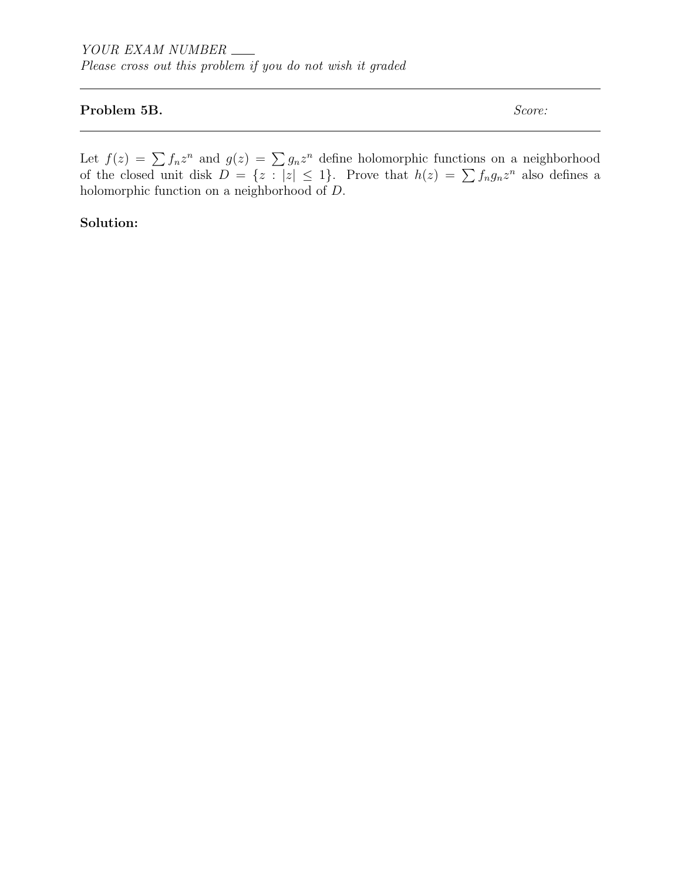## Problem 5B. Score:

Let  $f(z) = \sum f_n z^n$  and  $g(z) = \sum g_n z^n$  define holomorphic functions on a neighborhood of the closed unit disk  $D = \{z : |z| \leq 1\}$ . Prove that  $h(z) = \sum f_n g_n z^n$  also defines a holomorphic function on a neighborhood of D.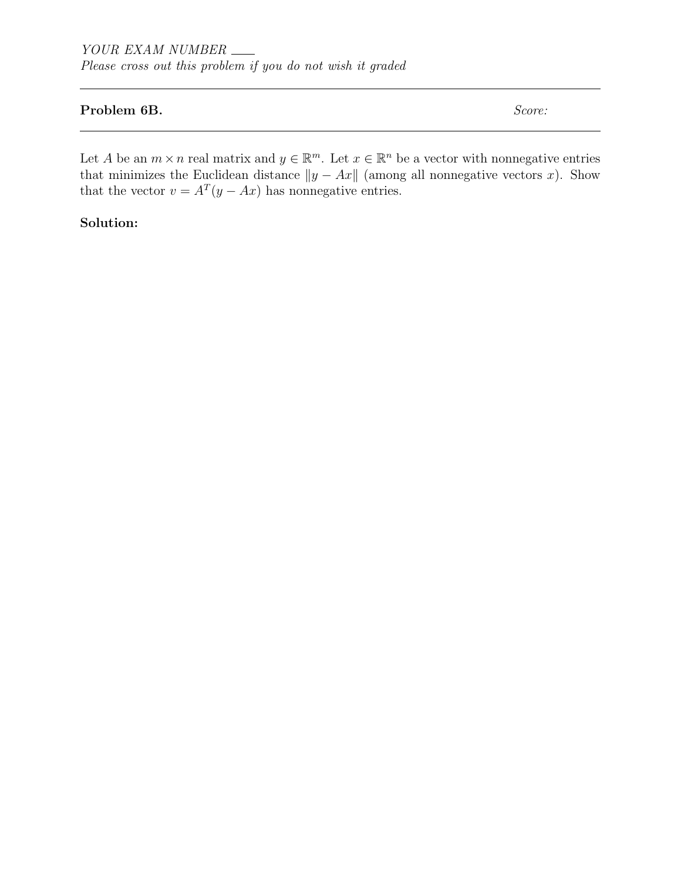#### Problem 6B. Score:

Let A be an  $m \times n$  real matrix and  $y \in \mathbb{R}^m$ . Let  $x \in \mathbb{R}^n$  be a vector with nonnegative entries that minimizes the Euclidean distance  $||y - Ax||$  (among all nonnegative vectors x). Show that the vector  $v = A^T(y - Ax)$  has nonnegative entries.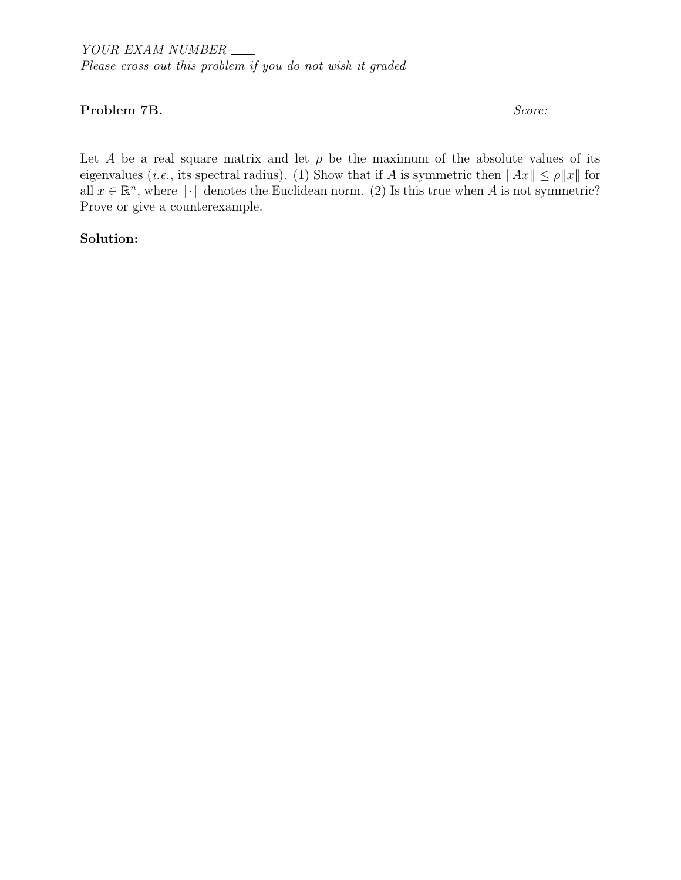#### Problem 7B. Score:

Let A be a real square matrix and let  $\rho$  be the maximum of the absolute values of its eigenvalues (*i.e.*, its spectral radius). (1) Show that if A is symmetric then  $||Ax|| \le \rho ||x||$  for all  $x \in \mathbb{R}^n$ , where  $\|\cdot\|$  denotes the Euclidean norm. (2) Is this true when A is not symmetric? Prove or give a counterexample.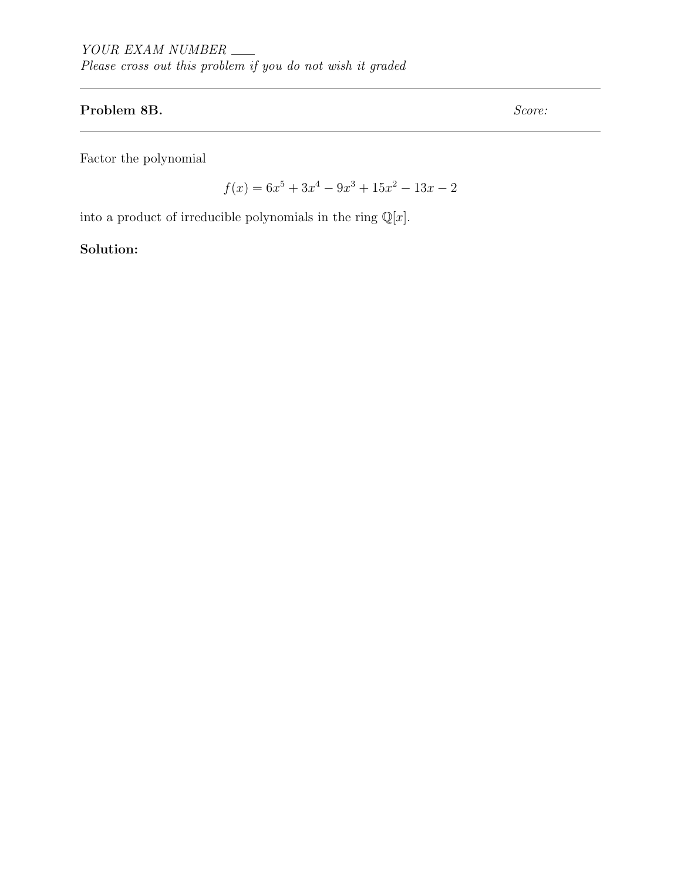#### Problem 8B. Score:

Factor the polynomial

 $f(x) = 6x^5 + 3x^4 - 9x^3 + 15x^2 - 13x - 2$ 

into a product of irreducible polynomials in the ring  $\mathbb{Q}[x]$ .